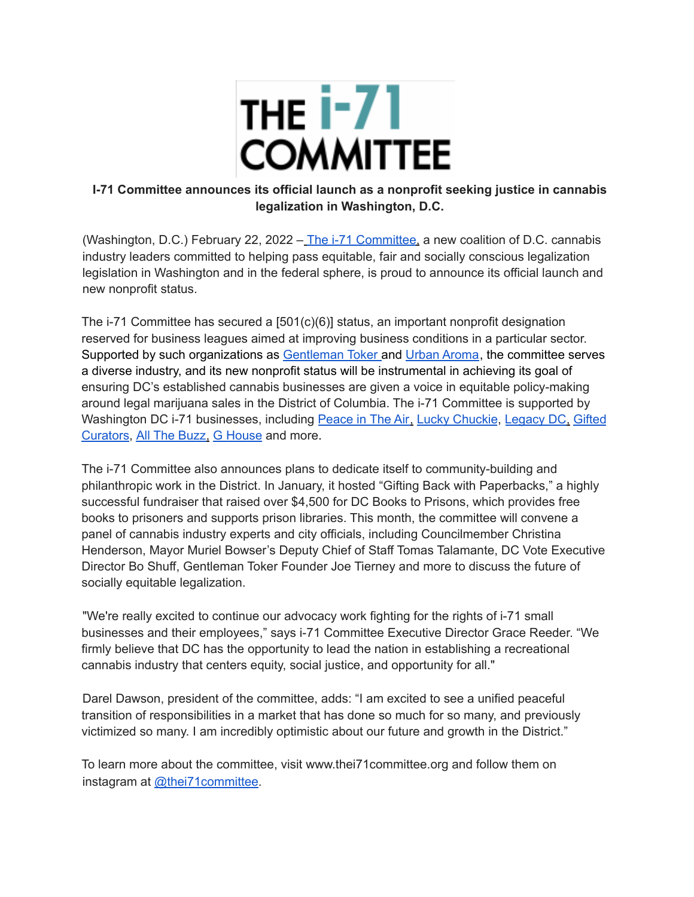

## **I-71 Committee announces its official launch as a nonprofit seeking justice in cannabis legalization in Washington, D.C.**

(Washington, D.C.) February 22, 2022 - The i-71 Committee, a new coalition of D.C. cannabis industry leaders committed to helping pass equitable, fair and socially conscious legalization legislation in Washington and in the federal sphere, is proud to announce its official launch and new nonprofit status.

The i-71 Committee has secured a  $[501(c)(6)]$  status, an important nonprofit designation reserved for business leagues aimed at improving business conditions in a particular sector. Supported by such organizations as Gentleman Toker and Urban Aroma, the committee serves a diverse industry, and its new nonprofit status will be instrumental in achieving its goal of ensuring DC's established cannabis businesses are given a voice in equitable policy-making around legal marijuana sales in the District of Columbia. The i-71 Committee is supported by Washington DC i-71 businesses, including Peace in The Air, Lucky Chuckie, Legacy DC, Gifted Curators, All The Buzz, G House and more.

The i-71 Committee also announces plans to dedicate itself to community-building and philanthropic work in the District. In January, it hosted "Gifting Back with Paperbacks," a highly successful fundraiser that raised over \$4,500 for DC Books to Prisons, which provides free books to prisoners and supports prison libraries. This month, the committee will convene a panel of cannabis industry experts and city officials, including Councilmember Christina Henderson, Mayor Muriel Bowser's Deputy Chief of Staff Tomas Talamante, DC Vote Executive Director Bo Shuff, Gentleman Toker Founder Joe Tierney and more to discuss the future of socially equitable legalization.

"We're really excited to continue our advocacy work fighting for the rights of i-71 small businesses and their employees," says i-71 Committee Executive Director Grace Reeder. "We firmly believe that DC has the opportunity to lead the nation in establishing a recreational cannabis industry that centers equity, social justice, and opportunity for all."

Darel Dawson, president of the committee, adds: "I am excited to see a unified peaceful transition of responsibilities in a market that has done so much for so many, and previously victimized so many. I am incredibly optimistic about our future and growth in the District."

To learn more about the committee, visit www.thei71committee.org and follow them on instagram at @thei71committee.